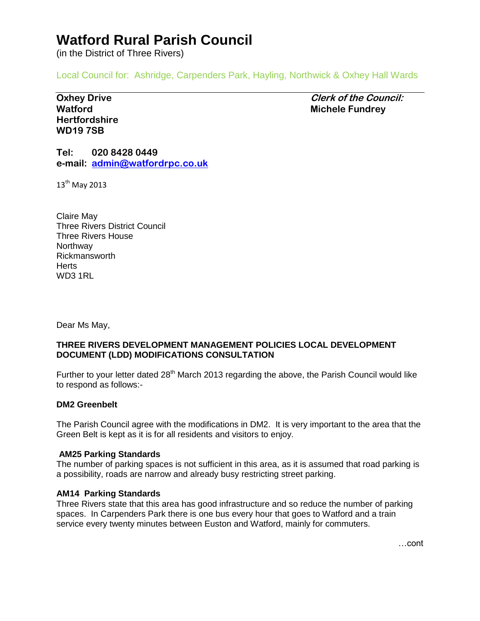# **Watford Rural Parish Council**

(in the District of Three Rivers)

Local Council for: Ashridge, Carpenders Park, Hayling, Northwick & Oxhey Hall Wards

**Hertfordshire WD19 7SB**

**Oxhey Drive Clerk of the Council: Watford Michele Fundrey**

**Tel: 020 8428 0449 e-mail: [admin@watfordrpc.co.uk](mailto:admin@watfordrpc.co.uk)**

13<sup>th</sup> May 2013

Claire May Three Rivers District Council Three Rivers House **Northway** Rickmansworth **Herts** WD3 1RL

Dear Ms May,

## **THREE RIVERS DEVELOPMENT MANAGEMENT POLICIES LOCAL DEVELOPMENT DOCUMENT (LDD) MODIFICATIONS CONSULTATION**

Further to your letter dated 28<sup>th</sup> March 2013 regarding the above, the Parish Council would like to respond as follows:-

## **DM2 Greenbelt**

The Parish Council agree with the modifications in DM2. It is very important to the area that the Green Belt is kept as it is for all residents and visitors to enjoy.

#### **AM25 Parking Standards**

The number of parking spaces is not sufficient in this area, as it is assumed that road parking is a possibility, roads are narrow and already busy restricting street parking.

#### **AM14 Parking Standards**

Three Rivers state that this area has good infrastructure and so reduce the number of parking spaces. In Carpenders Park there is one bus every hour that goes to Watford and a train service every twenty minutes between Euston and Watford, mainly for commuters.

…cont